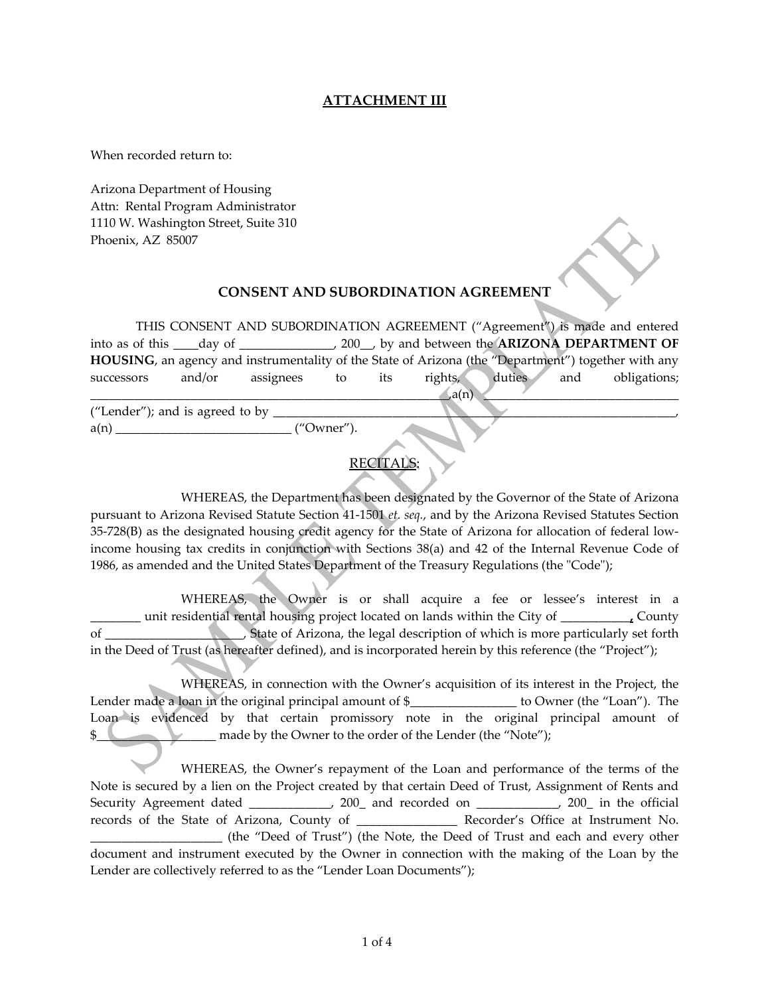## **ATTACHMENT III**

When recorded return to:

Arizona Department of Housing Attn: Rental Program Administrator 1110 W. Washington Street, Suite 310 Phoenix, AZ 85007

## **CONSENT AND SUBORDINATION AGREEMENT**

THIS CONSENT AND SUBORDINATION AGREEMENT ("Agreement") is made and entered into as of this \_\_\_\_day of \_\_\_\_\_\_\_\_\_\_\_\_\_\_\_, 200\_\_, by and between the **ARIZONA DEPARTMENT OF HOUSING**, an agency and instrumentality of the State of Arizona (the "Department") together with any successors and/or assignees to its rights, duties and obligations;  $\mathcal{L}a(n)$  and  $\mathcal{L}a(n)$  and  $\mathcal{L}a(n)$  and  $\mathcal{L}a(n)$  and  $\mathcal{L}a(n)$  and  $\mathcal{L}a(n)$  and  $\mathcal{L}a(n)$  and  $\mathcal{L}a(n)$  and  $\mathcal{L}a(n)$  and  $\mathcal{L}a(n)$  and  $\mathcal{L}a(n)$  and  $\mathcal{L}a(n)$  and  $\mathcal{L}a(n)$  and  $\mathcal{L}a(n)$  a

("Lender"); and is agreed to by  $\Box$  $a(n)$  ("Owner").

## RECITALS:

 WHEREAS, the Department has been designated by the Governor of the State of Arizona pursuant to Arizona Revised Statute Section 41‐1501 *et. seq.*, and by the Arizona Revised Statutes Section 35-728(B) as the designated housing credit agency for the State of Arizona for allocation of federal lowincome housing tax credits in conjunction with Sections 38(a) and 42 of the Internal Revenue Code of 1986, as amended and the United States Department of the Treasury Regulations (the "Code");

 WHEREAS, the Owner is or shall acquire a fee or lessee's interest in a \_\_\_\_\_\_\_\_ unit residential rental housing project located on lands within the City of \_\_\_\_\_\_\_\_\_\_\_**,** County of \_\_\_\_\_\_\_\_\_\_\_\_\_\_\_\_\_\_\_\_\_\_, State of Arizona, the legal description of which is more particularly set forth in the Deed of Trust (as hereafter defined), and is incorporated herein by this reference (the "Project");

 WHEREAS, in connection with the Owner's acquisition of its interest in the Project, the Lender made a loan in the original principal amount of \$\_\_\_\_\_\_\_\_\_\_\_\_\_\_\_ to Owner (the "Loan"). The Loan is evidenced by that certain promissory note in the original principal amount of **1. The same of the Owner to the order of the Lender (the "Note");** 

 WHEREAS, the Owner's repayment of the Loan and performance of the terms of the Note is secured by a lien on the Project created by that certain Deed of Trust, Assignment of Rents and Security Agreement dated \_\_\_\_\_\_\_\_\_\_, 200\_ and recorded on \_\_\_\_\_\_\_\_\_\_, 200\_ in the official records of the State of Arizona, County of **Recorder's Office at Instrument No.** \_\_\_\_\_\_\_\_\_\_\_\_\_\_\_\_\_\_\_\_\_ (the "Deed of Trust") (the Note, the Deed of Trust and each and every other document and instrument executed by the Owner in connection with the making of the Loan by the Lender are collectively referred to as the "Lender Loan Documents");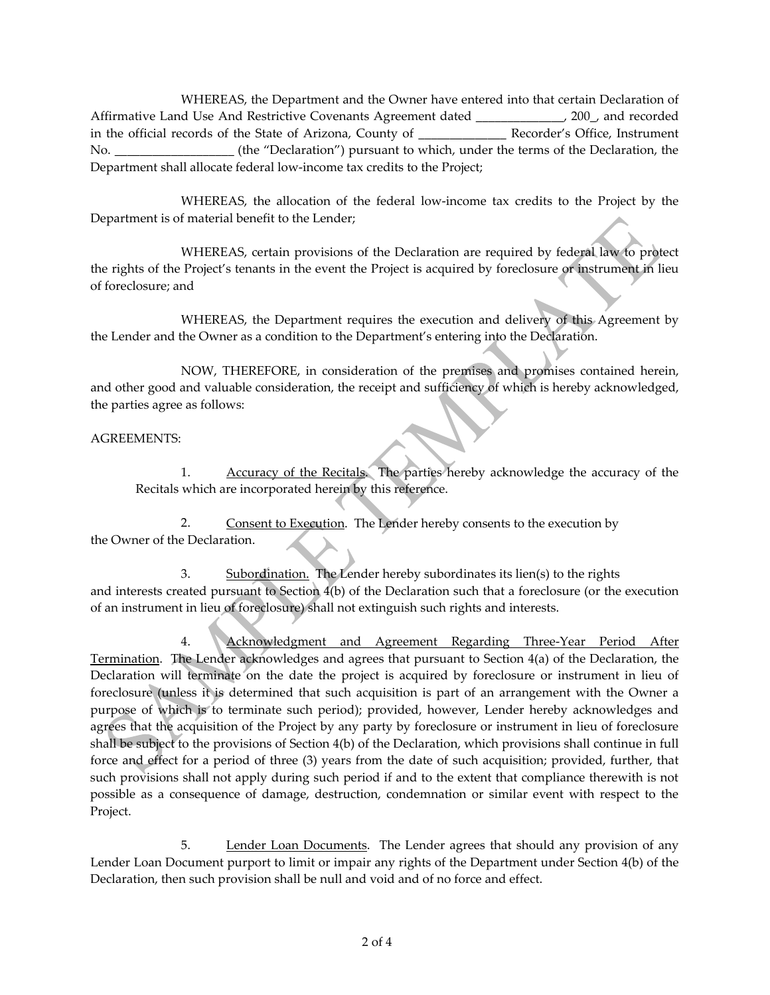WHEREAS, the Department and the Owner have entered into that certain Declaration of Affirmative Land Use And Restrictive Covenants Agreement dated \_\_\_\_\_\_\_\_\_\_\_\_\_\_, 200\_, and recorded in the official records of the State of Arizona, County of \_\_\_\_\_\_\_\_\_\_\_\_\_\_ Recorder's Office, Instrument No. \_\_\_\_\_\_\_\_\_\_\_\_\_\_\_\_\_\_\_ (the "Declaration") pursuant to which, under the terms of the Declaration, the Department shall allocate federal low‐income tax credits to the Project;

WHEREAS, the allocation of the federal low-income tax credits to the Project by the Department is of material benefit to the Lender;

 WHEREAS, certain provisions of the Declaration are required by federal law to protect the rights of the Project's tenants in the event the Project is acquired by foreclosure or instrument in lieu of foreclosure; and

 WHEREAS, the Department requires the execution and delivery of this Agreement by the Lender and the Owner as a condition to the Department's entering into the Declaration.

 NOW, THEREFORE, in consideration of the premises and promises contained herein, and other good and valuable consideration, the receipt and sufficiency of which is hereby acknowledged, the parties agree as follows:

## AGREEMENTS:

1. Accuracy of the Recitals. The parties hereby acknowledge the accuracy of the Recitals which are incorporated herein by this reference.

2. Consent to Execution. The Lender hereby consents to the execution by the Owner of the Declaration.

3. Subordination. The Lender hereby subordinates its lien(s) to the rights and interests created pursuant to Section 4(b) of the Declaration such that a foreclosure (or the execution of an instrument in lieu of foreclosure) shall not extinguish such rights and interests.

 4. Acknowledgment and Agreement Regarding Three‐Year Period After Termination. The Lender acknowledges and agrees that pursuant to Section 4(a) of the Declaration, the Declaration will terminate on the date the project is acquired by foreclosure or instrument in lieu of foreclosure (unless it is determined that such acquisition is part of an arrangement with the Owner a purpose of which is to terminate such period); provided, however, Lender hereby acknowledges and agrees that the acquisition of the Project by any party by foreclosure or instrument in lieu of foreclosure shall be subject to the provisions of Section 4(b) of the Declaration, which provisions shall continue in full force and effect for a period of three (3) years from the date of such acquisition; provided, further, that such provisions shall not apply during such period if and to the extent that compliance therewith is not possible as a consequence of damage, destruction, condemnation or similar event with respect to the Project.

 5. Lender Loan Documents. The Lender agrees that should any provision of any Lender Loan Document purport to limit or impair any rights of the Department under Section 4(b) of the Declaration, then such provision shall be null and void and of no force and effect.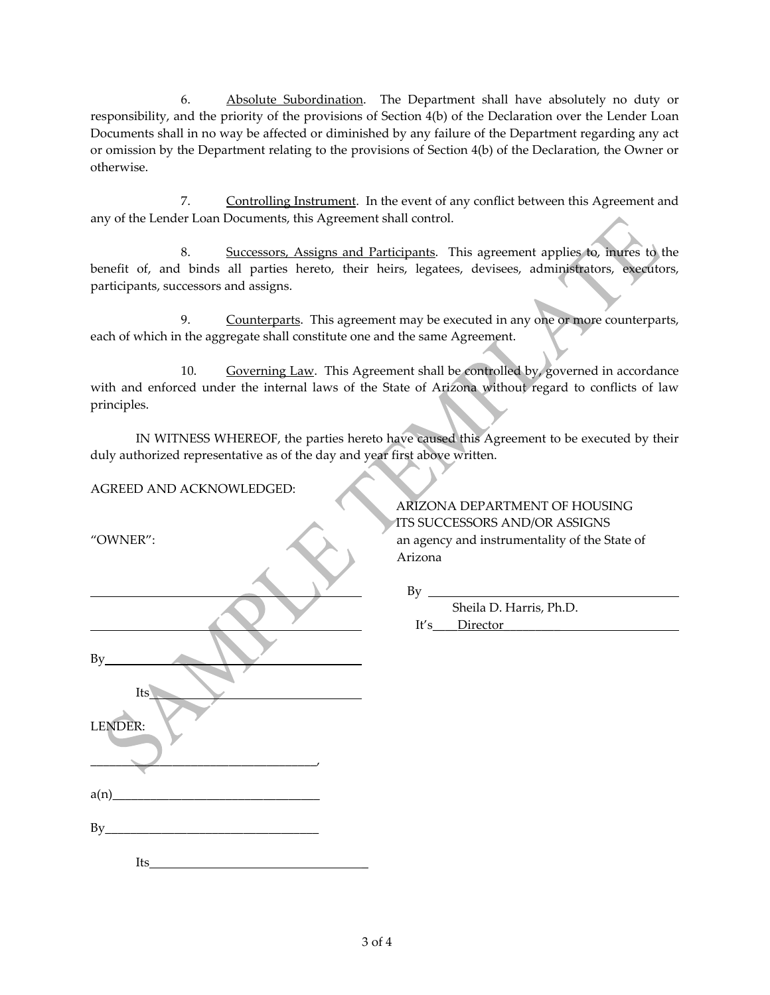6. Absolute Subordination. The Department shall have absolutely no duty or responsibility, and the priority of the provisions of Section 4(b) of the Declaration over the Lender Loan Documents shall in no way be affected or diminished by any failure of the Department regarding any act or omission by the Department relating to the provisions of Section 4(b) of the Declaration, the Owner or otherwise.

 7. Controlling Instrument. In the event of any conflict between this Agreement and any of the Lender Loan Documents, this Agreement shall control.

 8. Successors, Assigns and Participants. This agreement applies to, inures to the benefit of, and binds all parties hereto, their heirs, legatees, devisees, administrators, executors, participants, successors and assigns.

9. Counterparts. This agreement may be executed in any one or more counterparts, each of which in the aggregate shall constitute one and the same Agreement.

 10. Governing Law. This Agreement shall be controlled by, governed in accordance with and enforced under the internal laws of the State of Arizona without regard to conflicts of law principles.

IN WITNESS WHEREOF, the parties hereto have caused this Agreement to be executed by their duly authorized representative as of the day and year first above written.

AGREED AND ACKNOWLEDGED:

|         | Arizona                 |
|---------|-------------------------|
|         | <b>By</b>               |
|         | Sheila D. Harris, Ph.D. |
|         | Director<br>It's        |
| By      |                         |
| Its     |                         |
| LENDER: |                         |
|         |                         |
| a(n)    |                         |
| By      |                         |
|         |                         |
|         |                         |

Its \_

ARIZONA DEPARTMENT OF HOUSING ITS SUCCESSORS AND/OR ASSIGNS "OWNER": an agency and instrumentality of the State of Arizona